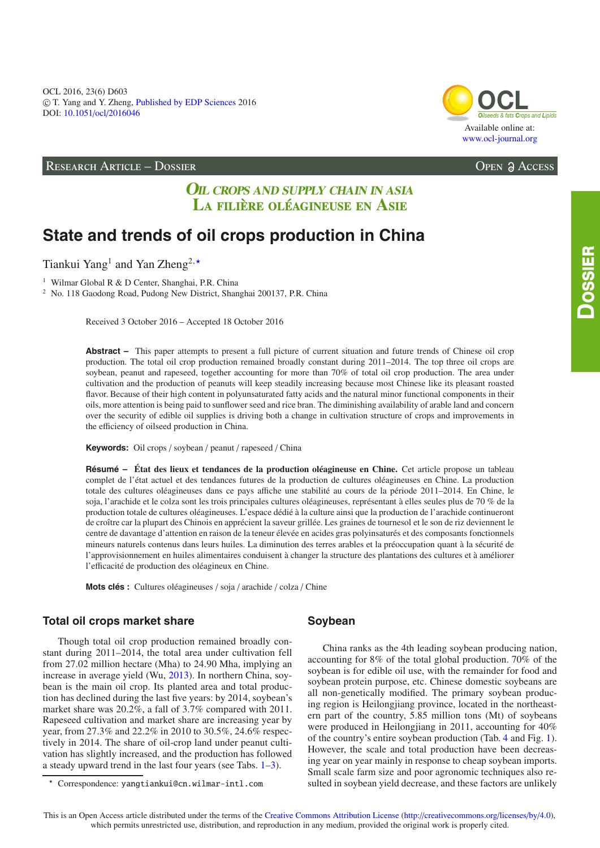#### RESEARCH ARTICLE – DOSSIER Open Access



## **OIL CROPS AND SUPPLY CHAIN IN ASIA** LA FILIÈRE OLÉAGINEUSE EN ASIE

# **State and trends of oil crops production in China**

Tiankui Yang<sup>1</sup> and Yan Zheng<sup>2,\*</sup>

<sup>1</sup> Wilmar Global R & D Center, Shanghai, P.R. China

<sup>2</sup> No. 118 Gaodong Road, Pudong New District, Shanghai 200137, P.R. China

Received 3 October 2016 – Accepted 18 October 2016

**Abstract –** This paper attempts to present a full picture of current situation and future trends of Chinese oil crop production. The total oil crop production remained broadly constant during 2011–2014. The top three oil crops are soybean, peanut and rapeseed, together accounting for more than 70% of total oil crop production. The area under cultivation and the production of peanuts will keep steadily increasing because most Chinese like its pleasant roasted flavor. Because of their high content in polyunsaturated fatty acids and the natural minor functional components in their oils, more attention is being paid to sunflower seed and rice bran. The diminishing availability of arable land and concern over the security of edible oil supplies is driving both a change in cultivation structure of crops and improvements in the efficiency of oilseed production in China.

**Keywords:** Oil crops / soybean / peanut / rapeseed / China

**Résumé – État des lieux et tendances de la production oléagineuse en Chine.** Cet article propose un tableau complet de l'état actuel et des tendances futures de la production de cultures oléagineuses en Chine. La production totale des cultures oléagineuses dans ce pays affiche une stabilité au cours de la période 2011–2014. En Chine, le soja, l'arachide et le colza sont les trois principales cultures oléagineuses, représentant à elles seules plus de 70 % de la production totale de cultures oléagineuses. L'espace dédié à la culture ainsi que la production de l'arachide continueront de croître car la plupart des Chinois en apprécient la saveur grillée. Les graines de tournesol et le son de riz deviennent le centre de davantage d'attention en raison de la teneur élevée en acides gras polyinsaturés et des composants fonctionnels mineurs naturels contenus dans leurs huiles. La diminution des terres arables et la préoccupation quant à la sécurité de l'approvisionnement en huiles alimentaires conduisent à changer la structure des plantations des cultures et à améliorer l'efficacité de production des oléagineux en Chine.

**Mots clés :** Cultures oléagineuses / soja / arachide / colza / Chine

#### **Total oil crops market share**

Though total oil crop production remained broadly constant during 2011–2014, the total area under cultivation fell from 27.02 million hectare (Mha) to 24.90 Mha, implying an increase in average yield (Wu, [2013\)](#page-4-0). In northern China, soybean is the main oil crop. Its planted area and total production has declined during the last five years: by 2014, soybean's market share was 20.2%, a fall of 3.7% compared with 2011. Rapeseed cultivation and market share are increasing year by year, from 27.3% and 22.2% in 2010 to 30.5%, 24.6% respectively in 2014. The share of oil-crop land under peanut cultivation has slightly increased, and the production has followed a steady upward trend in the last four years (see Tabs. [1–](#page-1-0)[3\)](#page-1-1).

## **Soybean**

China ranks as the 4th leading soybean producing nation, accounting for 8% of the total global production. 70% of the soybean is for edible oil use, with the remainder for food and soybean protein purpose, etc. Chinese domestic soybeans are all non-genetically modified. The primary soybean producing region is Heilongjiang province, located in the northeastern part of the country, 5.85 million tons (Mt) of soybeans were produced in Heilongjiang in 2011, accounting for 40% of the country's entire soybean production (Tab. [4](#page-1-2) and Fig. [1\)](#page-2-0). However, the scale and total production have been decreasing year on year mainly in response to cheap soybean imports. Small scale farm size and poor agronomic techniques also resulted in soybean yield decrease, and these factors are unlikely

<sup>-</sup> Correspondence: yangtiankui@cn.wilmar-intl.com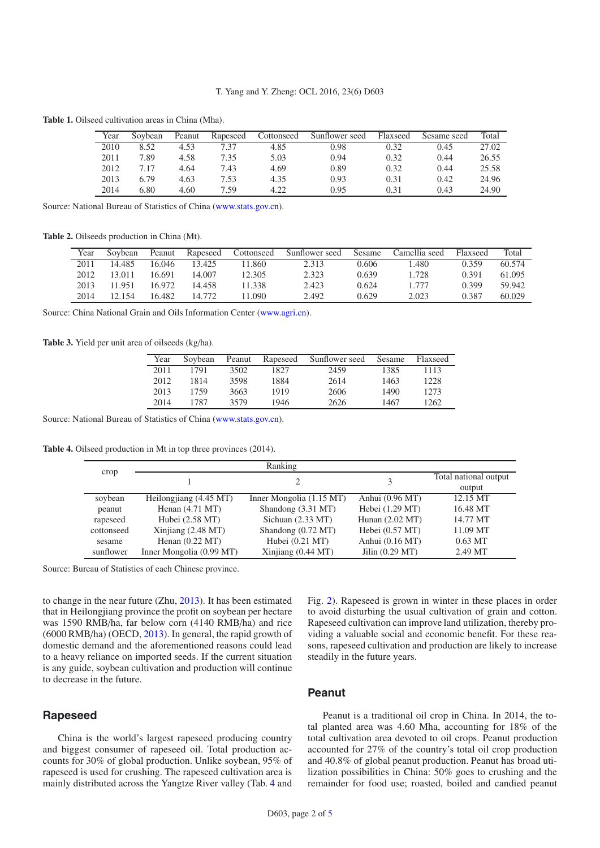#### T. Yang and Y. Zheng: OCL 2016, 23(6) D603

| Year | Sovbean | Peanut | Rapeseed | Cottonseed | Sunflower seed | Flaxseed | Sesame seed | Total |
|------|---------|--------|----------|------------|----------------|----------|-------------|-------|
| 2010 | 8.52    | 4.53   | 7.37     | 4.85       | 0.98           | 0.32     | 0.45        | 27.02 |
| 2011 | 7.89    | 4.58   | 7.35     | 5.03       | 0.94           | 0.32     | 0.44        | 26.55 |
| 2012 | 7.17    | 4.64   | 7.43     | 4.69       | 0.89           | 0.32     | 0.44        | 25.58 |
| 2013 | 6.79    | 4.63   | 7.53     | 4.35       | 0.93           | 0.31     | 0.42        | 24.96 |
| 2014 | 6.80    | 4.60   | 7.59     | 4.22       | 0.95           | 0.31     | 0.43        | 24.90 |

<span id="page-1-0"></span>**Table 1.** Oilseed cultivation areas in China (Mha).

<span id="page-1-1"></span>Source: National Bureau of Statistics of China [\(www.stats.gov.cn\)](www.stats.gov.cn).

**Table 2.** Oilseeds production in China (Mt).

| Year | Sovbean | Peanut | Rapeseed | Cottonseed | Sunflower seed | Sesame | Camellia seed | Flaxseed | Total  |
|------|---------|--------|----------|------------|----------------|--------|---------------|----------|--------|
| 2011 | 14.485  | 16.046 | 13.425   | 11.860     | 2.313          | 0.606  | .480          | 0.359    | 60.574 |
| 2012 | 13.011  | 16.691 | 14.007   | 12.305     | 2.323          | 0.639  | .728          | 0.391    | 61.095 |
| 2013 | 11.951  | 16.972 | 14.458   | 11.338     | 2.423          | 0.624  | 777           | 0.399    | 59.942 |
| 2014 | 12.154  | 16.482 | 14.772   | 11.090.    | 2.492          | 0.629  | 2.023         | 0.387    | 60.029 |

<span id="page-1-2"></span>Source: China National Grain and Oils Information Center [\(www.agri.cn\)](www.agri.cn).

**Table 3.** Yield per unit area of oilseeds (kg/ha).

| Year | Sovbean | Peanut | Rapeseed | Sunflower seed | Sesame | Flaxseed |
|------|---------|--------|----------|----------------|--------|----------|
| 2011 | 1791    | 3502   | 1827     | 2459           | 1385   | 1113     |
| 2012 | 1814    | 3598   | 1884     | 2614           | 1463   | 1228     |
| 2013 | 1759    | 3663   | 1919     | 2606           | 1490   | 12.73    |
| 2014 | 1787    | 3579   | 1946     | 2626           | 1467   | 1262     |

Source: National Bureau of Statistics of China [\(www.stats.gov.cn\)](www.stats.gov.cn).

**Table 4.** Oilseed production in Mt in top three provinces (2014).

| crop       |                           |                                      |                      | Total national output |
|------------|---------------------------|--------------------------------------|----------------------|-----------------------|
|            |                           |                                      |                      | output                |
| soybean    | Heilongjiang (4.45 MT)    | Inner Mongolia (1.15 MT)             | Anhui $(0.96$ MT $)$ | 12.15 MT              |
| peanut     | Henan $(4.71$ MT $)$      | Shandong $(3.31 \text{ MT})$         | Hebei (1.29 MT)      | 16.48 MT              |
| rapeseed   | Hubei (2.58 MT)           | Sichuan $(2.33 \text{ MT})$          | Hunan $(2.02$ MT $)$ | 14.77 MT              |
| cottonseed | Xinjiang (2.48 MT)        | Shandong $(0.72 \text{ MT})$         | Hebei (0.57 MT)      | 11.09 MT              |
| sesame     | Henan $(0.22 \text{ MT})$ | Hubei $(0.21$ MT $)$                 | Anhui (0.16 MT)      | $0.63$ MT             |
| sunflower  | Inner Mongolia (0.99 MT)  | $\text{Xinjiang } (0.44 \text{ MT})$ | Jilin $(0.29$ MT $)$ | 2.49 MT               |

Source: Bureau of Statistics of each Chinese province.

to change in the near future (Zhu, [2013](#page-4-1)). It has been estimated that in Heilongjiang province the profit on soybean per hectare was 1590 RMB/ha, far below corn (4140 RMB/ha) and rice (6000 RMB/ha) (OECD, [2013\)](#page-4-2). In general, the rapid growth of domestic demand and the aforementioned reasons could lead to a heavy reliance on imported seeds. If the current situation is any guide, soybean cultivation and production will continue to decrease in the future.

#### **Rapeseed**

China is the world's largest rapeseed producing country and biggest consumer of rapeseed oil. Total production accounts for 30% of global production. Unlike soybean, 95% of rapeseed is used for crushing. The rapeseed cultivation area is mainly distributed across the Yangtze River valley (Tab. [4](#page-1-2) and Fig. [2\)](#page-2-1). Rapeseed is grown in winter in these places in order to avoid disturbing the usual cultivation of grain and cotton. Rapeseed cultivation can improve land utilization, thereby providing a valuable social and economic benefit. For these reasons, rapeseed cultivation and production are likely to increase steadily in the future years.

#### **Peanut**

Peanut is a traditional oil crop in China. In 2014, the total planted area was 4.60 Mha, accounting for 18% of the total cultivation area devoted to oil crops. Peanut production accounted for 27% of the country's total oil crop production and 40.8% of global peanut production. Peanut has broad utilization possibilities in China: 50% goes to crushing and the remainder for food use; roasted, boiled and candied peanut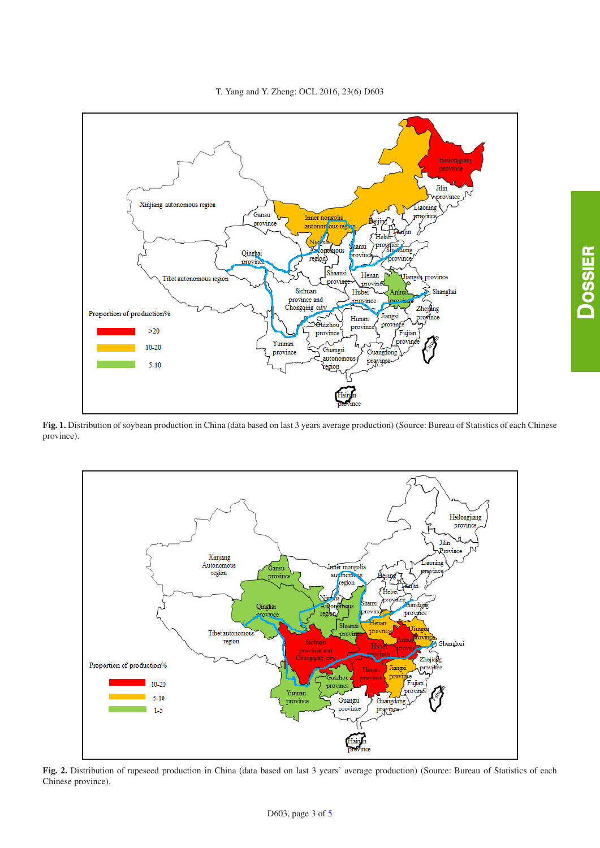

<span id="page-2-0"></span>**Fig. 1.** Distribution of soybean production in China (data based on last 3 years average production) (Source: Bureau of Statistics of each Chinese province).



<span id="page-2-1"></span>**Fig. 2.** Distribution of rapeseed production in China (data based on last 3 years' average production) (Source: Bureau of Statistics of each Chinese province).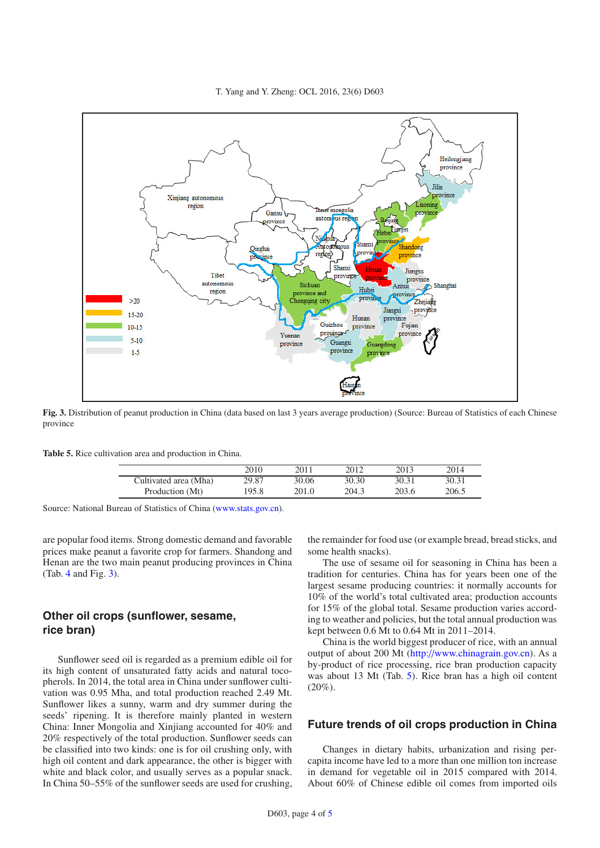T. Yang and Y. Zheng: OCL 2016, 23(6) D603



<span id="page-3-1"></span><span id="page-3-0"></span>**Fig. 3.** Distribution of peanut production in China (data based on last 3 years average production) (Source: Bureau of Statistics of each Chinese province

**Table 5.** Rice cultivation area and production in China.

|                       | 2010  | 201   | 2012  | 2013  | 2014  |
|-----------------------|-------|-------|-------|-------|-------|
| Cultivated area (Mha) | 29.87 | 30.06 | 30.30 | 30.31 | 30.31 |
| Production (Mt)       | 195.8 | 201.0 | 204.3 | 203.6 | 206.5 |

Source: National Bureau of Statistics of China [\(www.stats.gov.cn\)](www.stats.gov.cn).

are popular food items. Strong domestic demand and favorable prices make peanut a favorite crop for farmers. Shandong and Henan are the two main peanut producing provinces in China (Tab. [4](#page-1-2) and Fig. [3\)](#page-3-0).

## **Other oil crops (sunflower, sesame, rice bran)**

Sunflower seed oil is regarded as a premium edible oil for its high content of unsaturated fatty acids and natural tocopherols. In 2014, the total area in China under sunflower cultivation was 0.95 Mha, and total production reached 2.49 Mt. Sunflower likes a sunny, warm and dry summer during the seeds' ripening. It is therefore mainly planted in western China: Inner Mongolia and Xinjiang accounted for 40% and 20% respectively of the total production. Sunflower seeds can be classified into two kinds: one is for oil crushing only, with high oil content and dark appearance, the other is bigger with white and black color, and usually serves as a popular snack. In China 50–55% of the sunflower seeds are used for crushing, the remainder for food use (or example bread, bread sticks, and some health snacks).

The use of sesame oil for seasoning in China has been a tradition for centuries. China has for years been one of the largest sesame producing countries: it normally accounts for 10% of the world's total cultivated area; production accounts for 15% of the global total. Sesame production varies according to weather and policies, but the total annual production was kept between 0.6 Mt to 0.64 Mt in 2011–2014.

China is the world biggest producer of rice, with an annual output of about 200 Mt (http://[www.chinagrain.gov.cn\)](http://www.chinagrain.gov.cn). As a by-product of rice processing, rice bran production capacity was about 13 Mt (Tab. [5\)](#page-3-1). Rice bran has a high oil content  $(20\%).$ 

### **Future trends of oil crops production in China**

Changes in dietary habits, urbanization and rising percapita income have led to a more than one million ton increase in demand for vegetable oil in 2015 compared with 2014. About 60% of Chinese edible oil comes from imported oils